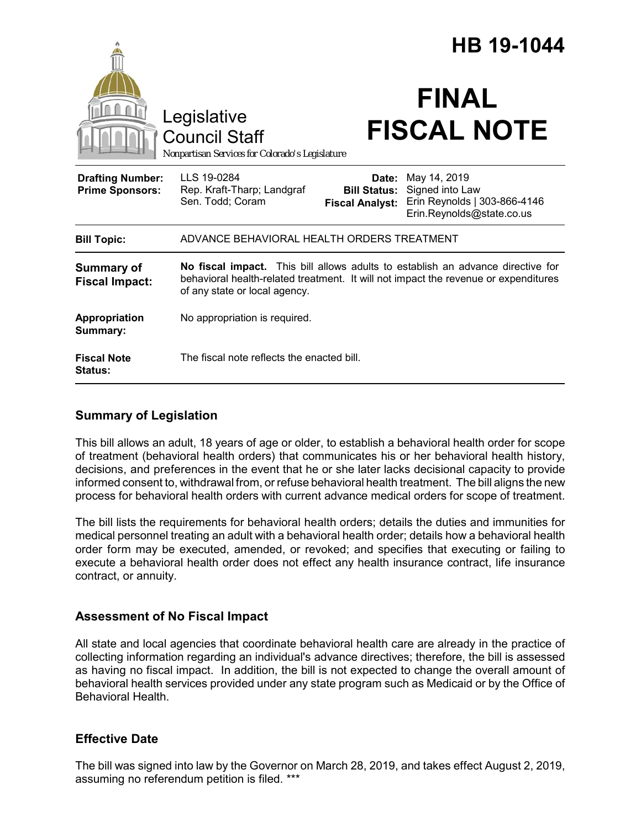|                                                   | Legislative                                                             |                                                        | <b>HB 19-1044</b><br><b>FINAL</b>                                                                                                                                      |
|---------------------------------------------------|-------------------------------------------------------------------------|--------------------------------------------------------|------------------------------------------------------------------------------------------------------------------------------------------------------------------------|
|                                                   | <b>Council Staff</b><br>Nonpartisan Services for Colorado's Legislature |                                                        | <b>FISCAL NOTE</b>                                                                                                                                                     |
| <b>Drafting Number:</b><br><b>Prime Sponsors:</b> | LLS 19-0284<br>Rep. Kraft-Tharp; Landgraf<br>Sen. Todd; Coram           | Date:<br><b>Bill Status:</b><br><b>Fiscal Analyst:</b> | May 14, 2019<br>Signed into Law<br>Erin Reynolds   303-866-4146<br>Erin.Reynolds@state.co.us                                                                           |
| <b>Bill Topic:</b>                                | ADVANCE BEHAVIORAL HEALTH ORDERS TREATMENT                              |                                                        |                                                                                                                                                                        |
| <b>Summary of</b><br><b>Fiscal Impact:</b>        | of any state or local agency.                                           |                                                        | No fiscal impact. This bill allows adults to establish an advance directive for<br>behavioral health-related treatment. It will not impact the revenue or expenditures |
| Appropriation<br>Summary:                         | No appropriation is required.                                           |                                                        |                                                                                                                                                                        |
| <b>Fiscal Note</b><br><b>Status:</b>              | The fiscal note reflects the enacted bill.                              |                                                        |                                                                                                                                                                        |

## **Summary of Legislation**

This bill allows an adult, 18 years of age or older, to establish a behavioral health order for scope of treatment (behavioral health orders) that communicates his or her behavioral health history, decisions, and preferences in the event that he or she later lacks decisional capacity to provide informed consent to, withdrawal from, or refuse behavioral health treatment. The bill aligns the new process for behavioral health orders with current advance medical orders for scope of treatment.

The bill lists the requirements for behavioral health orders; details the duties and immunities for medical personnel treating an adult with a behavioral health order; details how a behavioral health order form may be executed, amended, or revoked; and specifies that executing or failing to execute a behavioral health order does not effect any health insurance contract, life insurance contract, or annuity.

### **Assessment of No Fiscal Impact**

All state and local agencies that coordinate behavioral health care are already in the practice of collecting information regarding an individual's advance directives; therefore, the bill is assessed as having no fiscal impact. In addition, the bill is not expected to change the overall amount of behavioral health services provided under any state program such as Medicaid or by the Office of Behavioral Health.

### **Effective Date**

The bill was signed into law by the Governor on March 28, 2019, and takes effect August 2, 2019, assuming no referendum petition is filed. \*\*\*